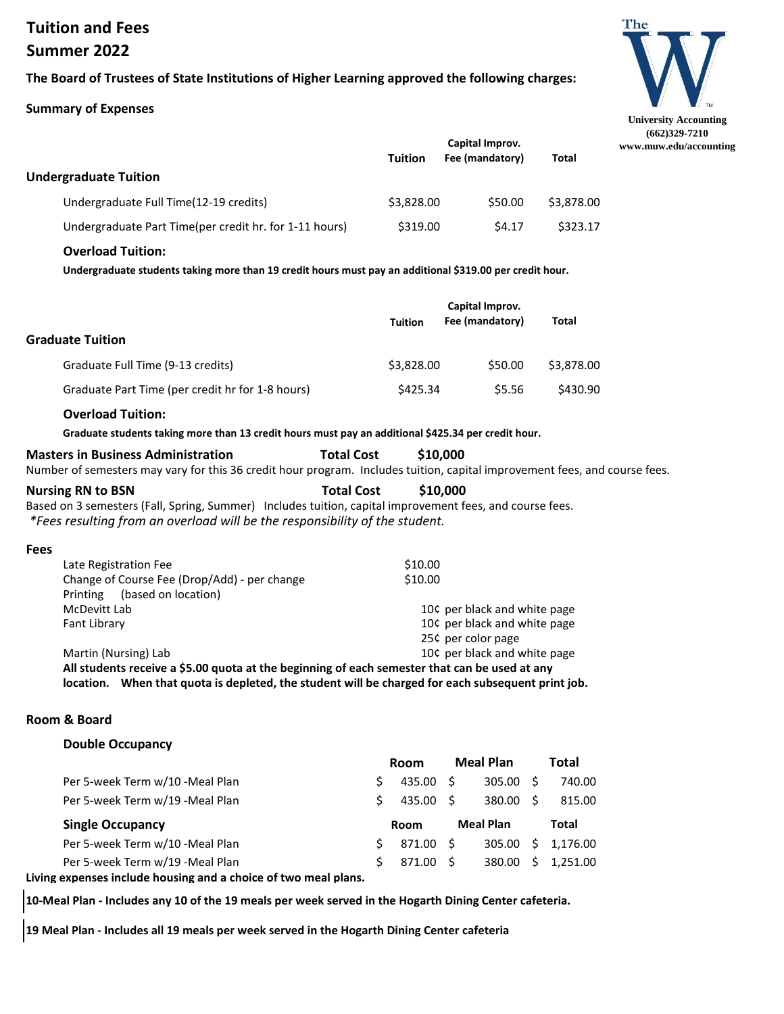# **Tuition and Fees Summer 2022**

## **The Board of Trustees of State Institutions of Higher Learning approved the following charges:**

#### **Summary of Expenses**



|                                                        |                | Capital Improv. |              |  |
|--------------------------------------------------------|----------------|-----------------|--------------|--|
|                                                        | <b>Tuition</b> | Fee (mandatory) | <b>Total</b> |  |
| <b>Undergraduate Tuition</b>                           |                |                 |              |  |
| Undergraduate Full Time(12-19 credits)                 | \$3,828.00     | \$50.00         | \$3,878.00   |  |
| Undergraduate Part Time(per credit hr. for 1-11 hours) | \$319.00       | S4.17           | \$323.17     |  |

#### **Overload Tuition:**

**Undergraduate students taking more than 19 credit hours must pay an additional \$319.00 per credit hour.**

| <b>Graduate Tuition</b>                          | <b>Tuition</b> | Capital Improv.<br>Fee (mandatory) | Total      |
|--------------------------------------------------|----------------|------------------------------------|------------|
| Graduate Full Time (9-13 credits)                | \$3,828.00     | \$50.00                            | \$3,878.00 |
| Graduate Part Time (per credit hr for 1-8 hours) | \$425.34       | \$5.56                             | \$430.90   |

#### **Overload Tuition:**

**Graduate students taking more than 13 credit hours must pay an additional \$425.34 per credit hour.**

| <b>Masters in Business Administration</b>                                                                                  | <b>Total Cost</b> | \$10,000 |  |
|----------------------------------------------------------------------------------------------------------------------------|-------------------|----------|--|
| Number of semesters may vary for this 36 credit hour program. Includes tuition, capital improvement fees, and course fees. |                   |          |  |

Based on 3 semesters (Fall, Spring, Summer) Includes tuition, capital improvement fees, and course fees.  *\*Fees resulting from an overload will be the responsibility of the student.* **Nursing RN to BSN Total Cost \$10,000** 

#### **Fees**

| Late Registration Fee                                                                                | \$10.00                      |
|------------------------------------------------------------------------------------------------------|------------------------------|
| Change of Course Fee (Drop/Add) - per change                                                         | \$10.00                      |
| (based on location)<br>Printing                                                                      |                              |
| McDevitt Lab                                                                                         | 10¢ per black and white page |
| Fant Library                                                                                         | 10¢ per black and white page |
|                                                                                                      | 25¢ per color page           |
| Martin (Nursing) Lab                                                                                 | 10¢ per black and white page |
| All students receive a \$5.00 quota at the beginning of each semester that can be used at any        |                              |
| When that quota is depleted, the student will be charged for each subsequent print job.<br>location. |                              |

#### **Room & Board**

#### **Double Occupancy**

|                                 | Room      | <b>Meal Plan</b> |     | Total      |  |
|---------------------------------|-----------|------------------|-----|------------|--|
| Per 5-week Term w/10 -Meal Plan | 435.00 \$ | 305.00           | - S | 740.00     |  |
| Per 5-week Term w/19 -Meal Plan | 435.00 \$ | 380.00           | - Ś | 815.00     |  |
|                                 |           |                  |     |            |  |
| <b>Single Occupancy</b>         | Room      | <b>Meal Plan</b> |     | Total      |  |
| Per 5-week Term w/10 -Meal Plan | 871.00 \$ | 305.00           |     | \$1,176.00 |  |

**Living expenses include housing and a choice of two meal plans.**

**10-Meal Plan - Includes any 10 of the 19 meals per week served in the Hogarth Dining Center cafeteria.**

**19 Meal Plan - Includes all 19 meals per week served in the Hogarth Dining Center cafeteria**